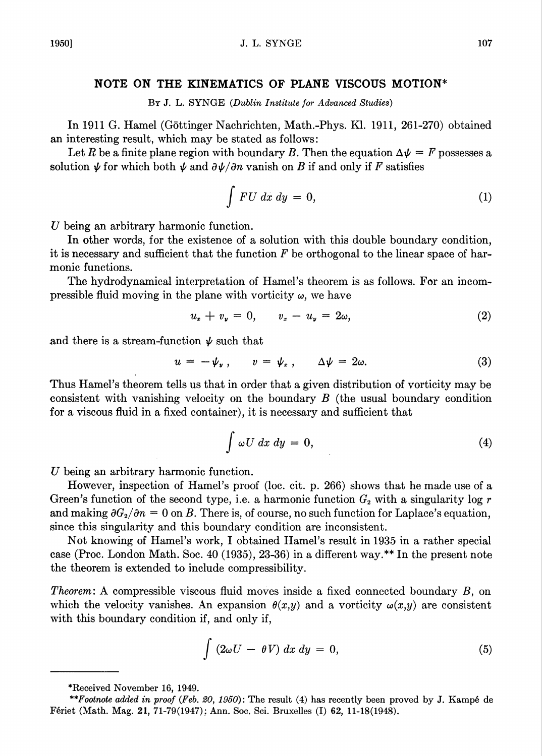## NOTE ON THE KINEMATICS OF PLANE VISCOUS MOTION\*

By J. L. SYNGE (Dublin Institute for Advanced Studies)

In 1911 G. Hamel (Gottinger Nachrichten, Math.-Phys. Kl. 1911, 261-270) obtained an interesting result, which may be stated as follows:

Let R be a finite plane region with boundary B. Then the equation  $\Delta \psi = F$  possesses a solution  $\psi$  for which both  $\psi$  and  $\partial \psi / \partial n$  vanish on B if and only if F satisfies

$$
\int FU\ dx\ dy\ =\ 0,\tag{1}
$$

U being an arbitrary harmonic function.

In other words, for the existence of a solution with this double boundary condition, it is necessary and sufficient that the function  $F$  be orthogonal to the linear space of harmonic functions.

The hydrodynamical interpretation of Hamel's theorem is as follows. For an incompressible fluid moving in the plane with vorticity  $\omega$ , we have

$$
u_x + v_y = 0, \qquad v_x - u_y = 2\omega,
$$
\n<sup>(2)</sup>

and there is a stream-function  $\psi$  such that

$$
u = -\psi_{\nu}, \qquad v = \psi_{x}, \qquad \Delta \psi = 2\omega. \tag{3}
$$

Thus Hamel's theorem tells us that in order that a given distribution of vorticity may be consistent with vanishing velocity on the boundary B (the usual boundary condition for a viscous fluid in a fixed container), it is necessary and sufficient that

$$
\int \omega U \, dx \, dy = 0,\tag{4}
$$

U being an arbitrary harmonic function.

However, inspection of Hamel's proof (loc. cit. p. 266) shows that he made use of a Green's function of the second type, i.e. a harmonic function  $G_2$  with a singularity log r and making  $\partial G_2/\partial n = 0$  on B. There is, of course, no such function for Laplace's equation, since this singularity and this boundary condition are inconsistent.

Not knowing of Hamel's work, I obtained Hamel's result in 1935 in a rather special case (Proc. London Math. Soc. 40 (1935), 23-36) in a different way.\*\* In the present note the theorem is extended to include compressibility.

Theorem: A compressible viscous fluid moves inside a fixed connected boundary B, on which the velocity vanishes. An expansion  $\theta(x,y)$  and a vorticity  $\omega(x,y)$  are consistent with this boundary condition if, and only if,

$$
\int (2\omega U - \theta V) dx dy = 0, \qquad (5)
$$

<sup>\*</sup>Received November 16, 1949.

<sup>\*\*</sup>Footnote added in proof (Feb. 20, 1950): The result (4) has recently been proved by J. Kampé de Feriet (Math. Mag. 21, 71-79(1947): Ann. Soc. Sci. Bruxelles (I) 62, 11-18(1948).